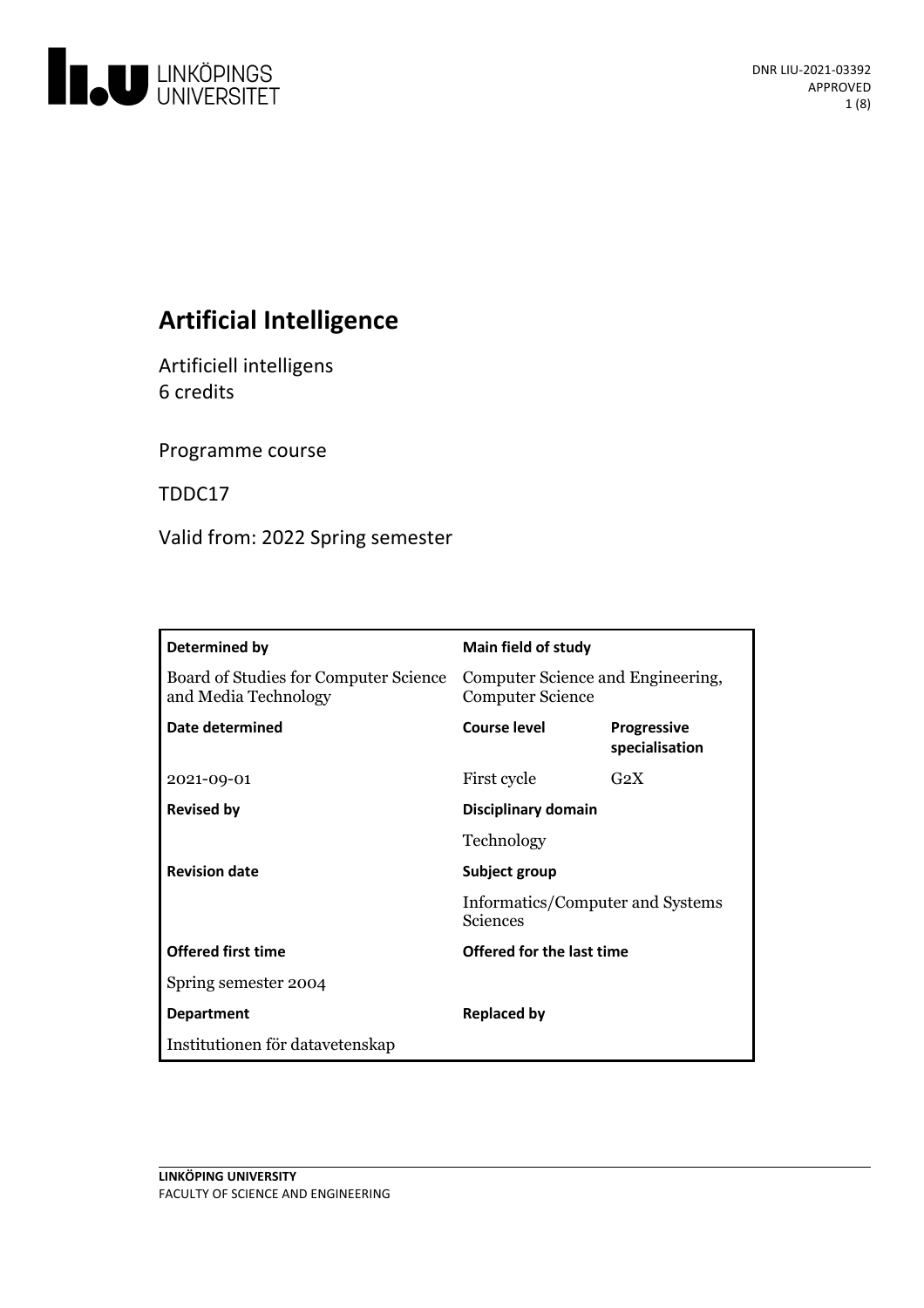

# **Artificial Intelligence**

Artificiell intelligens 6 credits

Programme course

TDDC17

Valid from: 2022 Spring semester

| Determined by                                                 | Main field of study                                                  |                                      |
|---------------------------------------------------------------|----------------------------------------------------------------------|--------------------------------------|
| Board of Studies for Computer Science<br>and Media Technology | Computer Science and Engineering,<br><b>Computer Science</b>         |                                      |
| Date determined                                               | Course level                                                         | <b>Progressive</b><br>specialisation |
| 2021-09-01                                                    | First cycle                                                          | $G_2X$                               |
| <b>Revised by</b>                                             | Disciplinary domain                                                  |                                      |
|                                                               | Technology                                                           |                                      |
| <b>Revision date</b>                                          | Subject group<br>Informatics/Computer and Systems<br><b>Sciences</b> |                                      |
|                                                               |                                                                      |                                      |
| <b>Offered first time</b>                                     | Offered for the last time                                            |                                      |
| Spring semester 2004                                          |                                                                      |                                      |
| <b>Department</b>                                             | Replaced by                                                          |                                      |
| Institutionen för datavetenskap                               |                                                                      |                                      |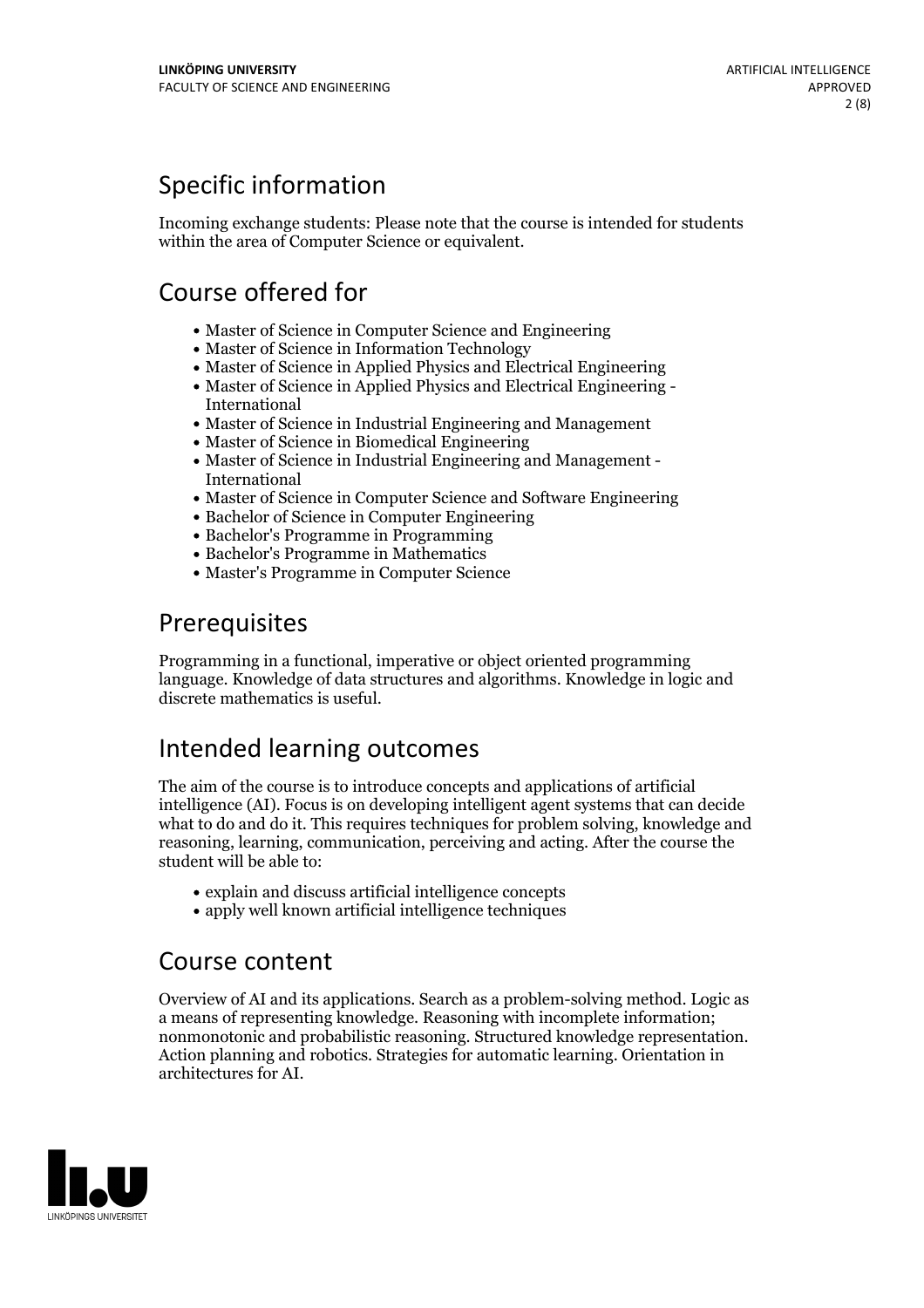## Specific information

Incoming exchange students: Please note that the course is intended for students within the area of Computer Science or equivalent.

## Course offered for

- Master of Science in Computer Science and Engineering
- Master of Science in Information Technology
- Master of Science in Applied Physics and Electrical Engineering
- Master of Science in Applied Physics and Electrical Engineering International
- Master of Science in Industrial Engineering and Management
- Master of Science in Biomedical Engineering
- Master of Science in Industrial Engineering and Management International
- Master of Science in Computer Science and Software Engineering
- Bachelor of Science in Computer Engineering
- Bachelor's Programme in Programming
- Bachelor's Programme in Mathematics
- Master's Programme in Computer Science

## Prerequisites

Programming in a functional, imperative or object oriented programming language. Knowledge of data structures and algorithms. Knowledge in logic and discrete mathematics is useful.

## Intended learning outcomes

The aim of the course is to introduce concepts and applications of artificial intelligence (AI). Focus is on developing intelligent agent systems that can decide what to do and do it. This requires techniques for problem solving, knowledge and reasoning, learning, communication, perceiving and acting. After the course the student will be able to:

- explain and discuss artificial intelligence concepts
- apply well known artificial intelligence techniques

## Course content

Overview of AI and its applications. Search as a problem-solving method. Logic as a means of representing knowledge. Reasoning with incomplete information; nonmonotonic and probabilistic reasoning. Structured knowledge representation. Action planning and robotics. Strategies for automatic learning. Orientation in architectures for AI.

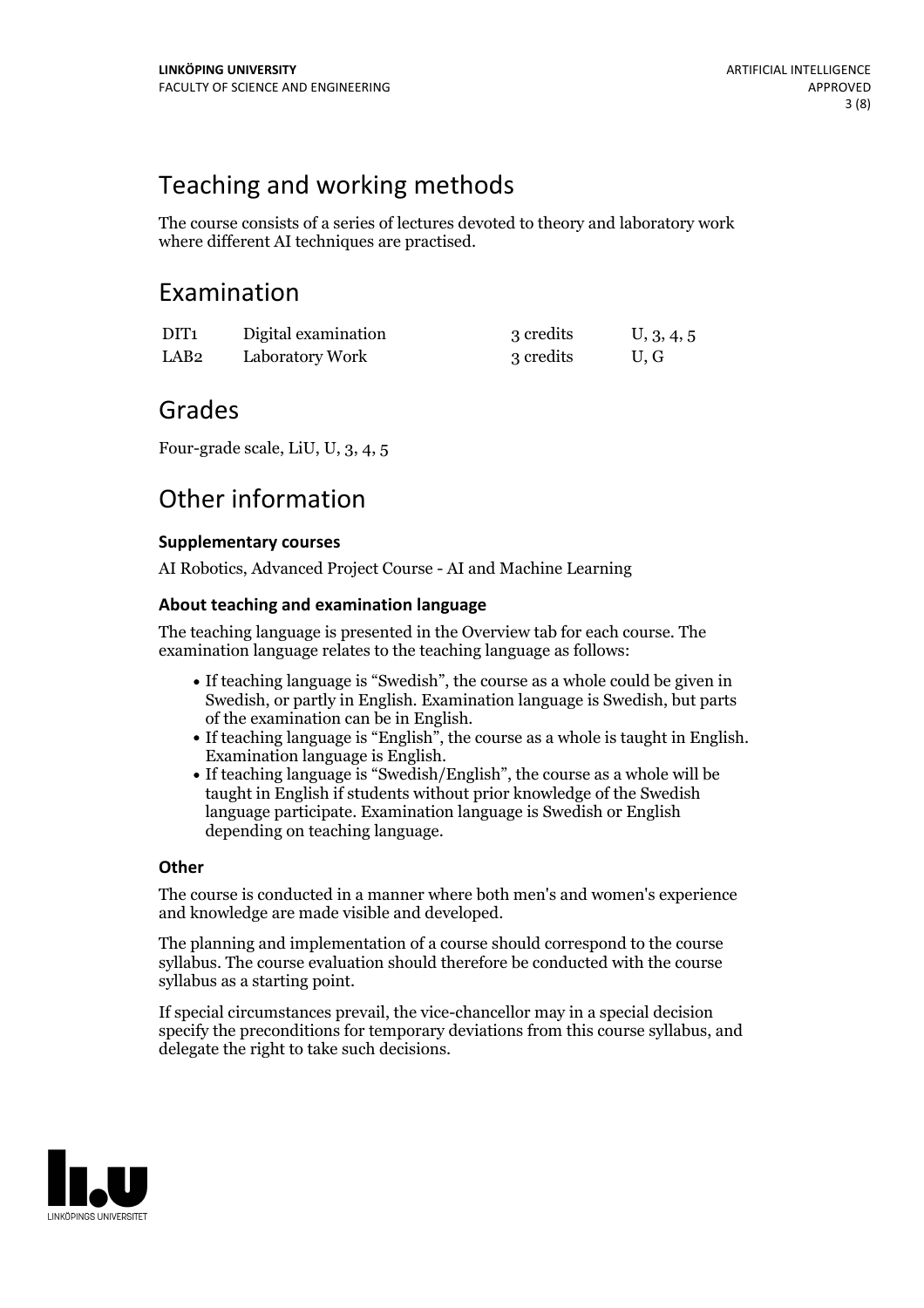## Teaching and working methods

The course consists of a series of lectures devoted to theory and laboratory work where different AI techniques are practised.

## Examination

| DIT <sub>1</sub> | Digital examination | 3 credits | U, 3, 4, 5 |
|------------------|---------------------|-----------|------------|
| LAB2             | Laboratory Work     | 3 credits | U.G        |

## Grades

Four-grade scale, LiU, U, 3, 4, 5

## Other information

### **Supplementarycourses**

AI Robotics, Advanced Project Course - AI and Machine Learning

### **About teaching and examination language**

The teaching language is presented in the Overview tab for each course. The examination language relates to the teaching language as follows:

- If teaching language is "Swedish", the course as a whole could be given in Swedish, or partly in English. Examination language is Swedish, but parts
- of the examination can be in English. If teaching language is "English", the course as <sup>a</sup> whole is taught in English. Examination language is English. If teaching language is "Swedish/English", the course as <sup>a</sup> whole will be
- taught in English if students without prior knowledge of the Swedish language participate. Examination language is Swedish or English depending on teaching language.

### **Other**

The course is conducted in a manner where both men's and women's experience and knowledge are made visible and developed.

The planning and implementation of a course should correspond to the course syllabus. The course evaluation should therefore be conducted with the course syllabus as a starting point.

If special circumstances prevail, the vice-chancellor may in a special decision specify the preconditions for temporary deviations from this course syllabus, and delegate the right to take such decisions.

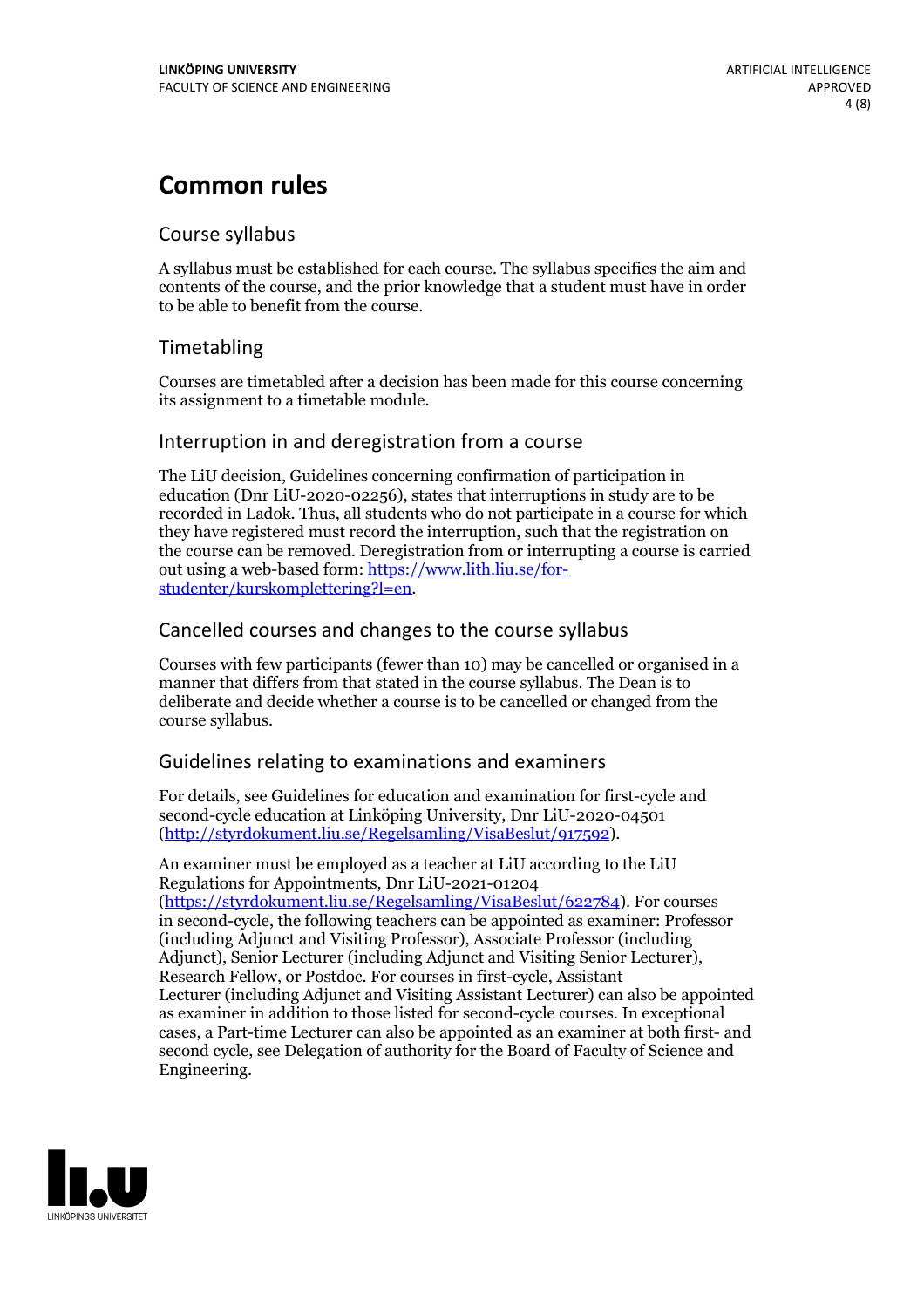## **Common rules**

### Course syllabus

A syllabus must be established for each course. The syllabus specifies the aim and contents of the course, and the prior knowledge that a student must have in order to be able to benefit from the course.

### Timetabling

Courses are timetabled after a decision has been made for this course concerning its assignment to a timetable module.

### Interruption in and deregistration from a course

The LiU decision, Guidelines concerning confirmation of participation in education (Dnr LiU-2020-02256), states that interruptions in study are to be recorded in Ladok. Thus, all students who do not participate in a course for which they have registered must record the interruption, such that the registration on the course can be removed. Deregistration from or interrupting a course is carried out using <sup>a</sup> web-based form: https://www.lith.liu.se/for- [studenter/kurskomplettering?l=en.](https://www.lith.liu.se/for-studenter/kurskomplettering?l=en)

### Cancelled courses and changes to the course syllabus

Courses with few participants (fewer than 10) may be cancelled or organised in a manner that differs from that stated in the course syllabus. The Dean is to deliberate and decide whether a course is to be cancelled or changed from the course syllabus.

### Guidelines relating to examinations and examiners

For details, see Guidelines for education and examination for first-cycle and second-cycle education at Linköping University, Dnr LiU-2020-04501 [\(http://styrdokument.liu.se/Regelsamling/VisaBeslut/917592\)](http://styrdokument.liu.se/Regelsamling/VisaBeslut/917592).

An examiner must be employed as a teacher at LiU according to the LiU Regulations for Appointments, Dnr LiU-2021-01204 [\(https://styrdokument.liu.se/Regelsamling/VisaBeslut/622784](https://styrdokument.liu.se/Regelsamling/VisaBeslut/622784)). For courses in second-cycle, the following teachers can be appointed as examiner: Professor (including Adjunct and Visiting Professor), Associate Professor (including Adjunct), Senior Lecturer (including Adjunct and Visiting Senior Lecturer), Research Fellow, or Postdoc. For courses in first-cycle, Assistant Lecturer (including Adjunct and Visiting Assistant Lecturer) can also be appointed as examiner in addition to those listed for second-cycle courses. In exceptional cases, a Part-time Lecturer can also be appointed as an examiner at both first- and second cycle, see Delegation of authority for the Board of Faculty of Science and Engineering.

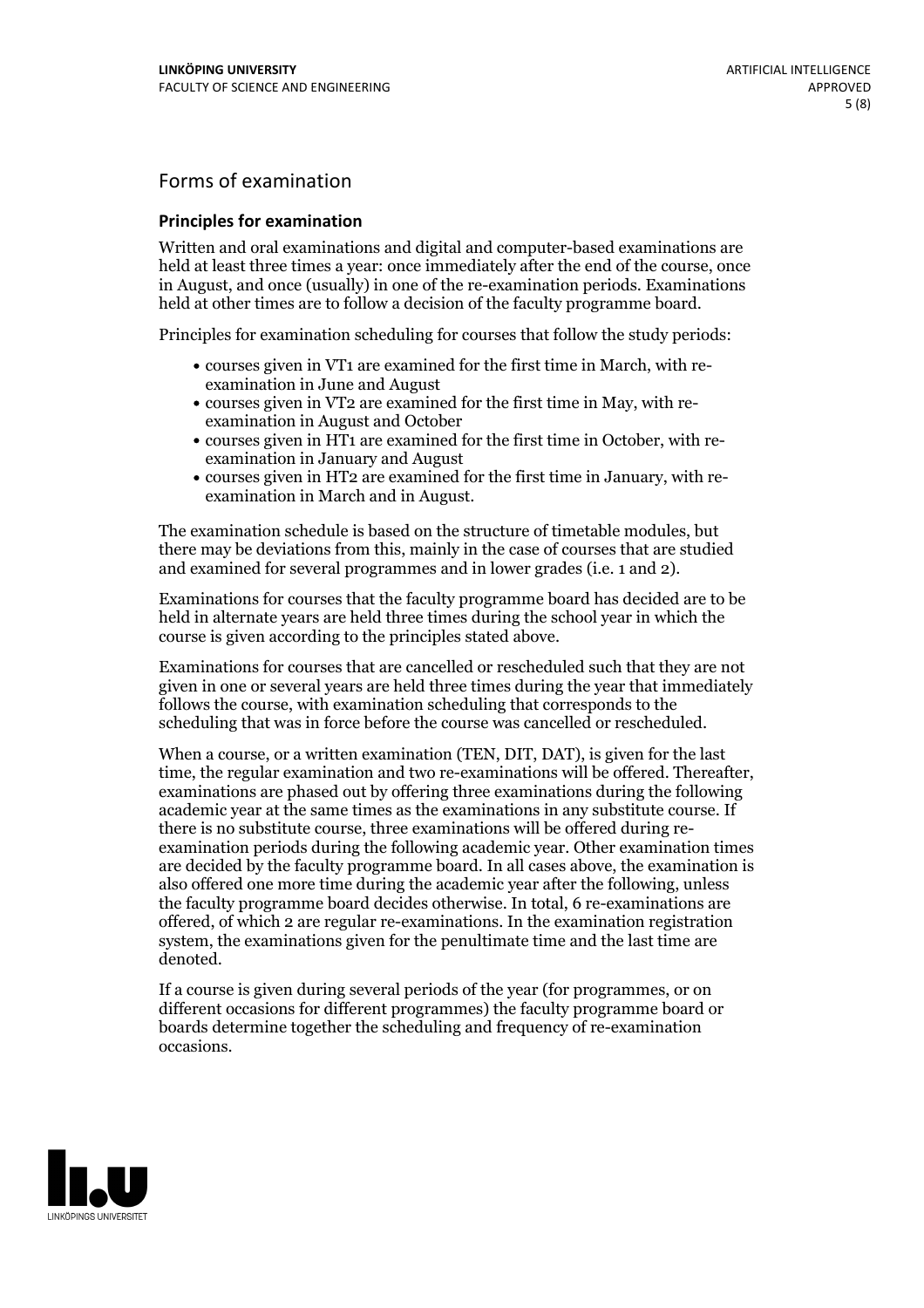## Forms of examination

#### **Principles for examination**

Written and oral examinations and digital and computer-based examinations are held at least three times a year: once immediately after the end of the course, once in August, and once (usually) in one of the re-examination periods. Examinations held at other times are to follow a decision of the faculty programme board.

Principles for examination scheduling for courses that follow the study periods:

- courses given in VT1 are examined for the first time in March, with re-examination in June and August
- courses given in VT2 are examined for the first time in May, with re-examination in August and October
- courses given in HT1 are examined for the first time in October, with re-examination in January and August
- courses given in HT2 are examined for the first time in January, with re-examination in March and in August.

The examination schedule is based on the structure of timetable modules, but there may be deviations from this, mainly in the case of courses that are studied and examined for several programmes and in lower grades (i.e. 1 and 2).

Examinations for courses that the faculty programme board has decided are to be held in alternate years are held three times during the school year in which the course is given according to the principles stated above.

Examinations for courses that are cancelled orrescheduled such that they are not given in one or several years are held three times during the year that immediately follows the course, with examination scheduling that corresponds to the scheduling that was in force before the course was cancelled or rescheduled.

When a course, or a written examination (TEN, DIT, DAT), is given for the last time, the regular examination and two re-examinations will be offered. Thereafter, examinations are phased out by offering three examinations during the following academic year at the same times as the examinations in any substitute course. If there is no substitute course, three examinations will be offered during re- examination periods during the following academic year. Other examination times are decided by the faculty programme board. In all cases above, the examination is also offered one more time during the academic year after the following, unless the faculty programme board decides otherwise. In total, 6 re-examinations are offered, of which 2 are regular re-examinations. In the examination registration system, the examinations given for the penultimate time and the last time are denoted.

If a course is given during several periods of the year (for programmes, or on different occasions for different programmes) the faculty programme board or boards determine together the scheduling and frequency of re-examination occasions.

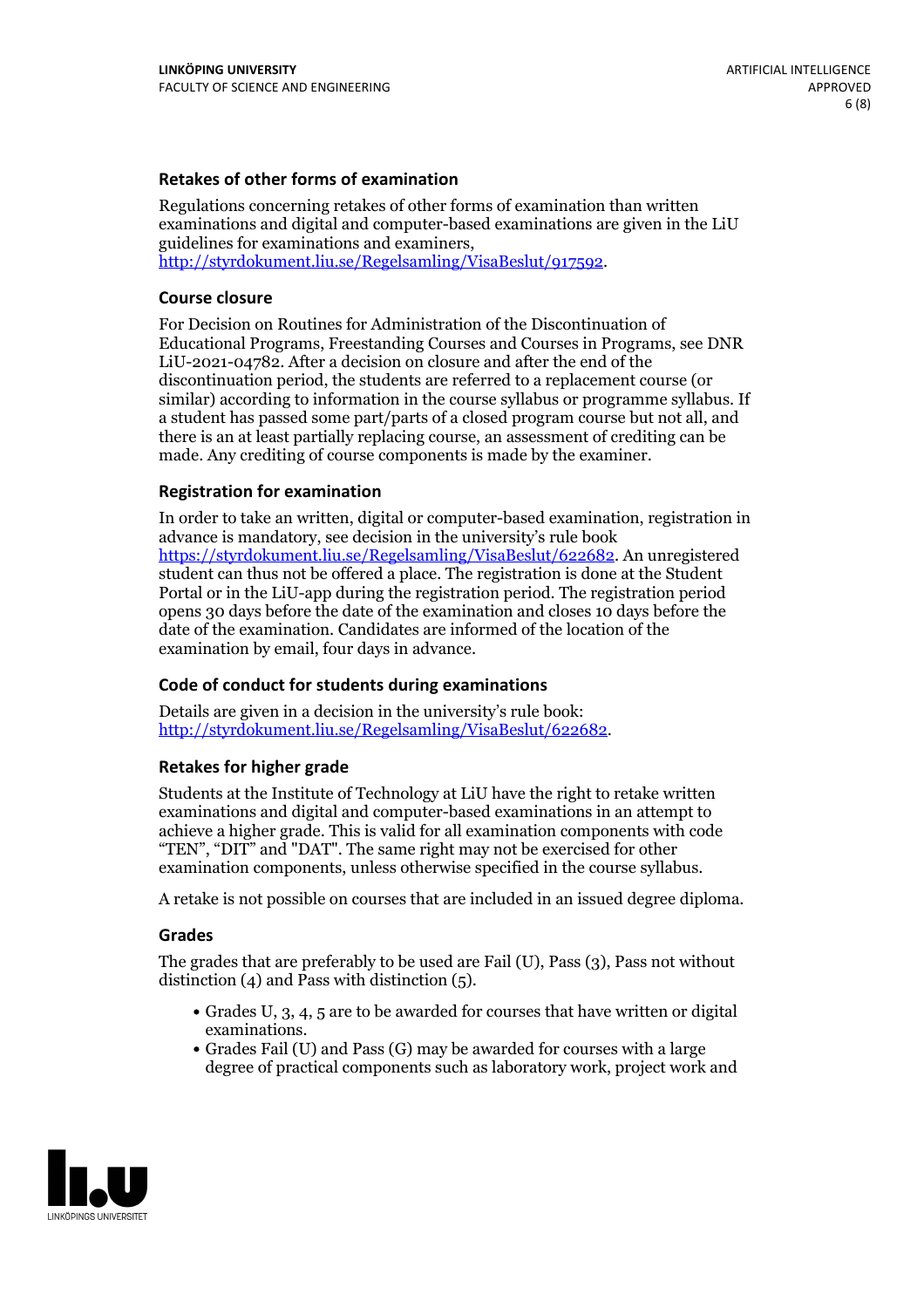### **Retakes of other forms of examination**

Regulations concerning retakes of other forms of examination than written examinations and digital and computer-based examinations are given in the LiU guidelines for examinations and examiners, [http://styrdokument.liu.se/Regelsamling/VisaBeslut/917592.](http://styrdokument.liu.se/Regelsamling/VisaBeslut/917592)

#### **Course closure**

For Decision on Routines for Administration of the Discontinuation of Educational Programs, Freestanding Courses and Courses in Programs, see DNR LiU-2021-04782. After a decision on closure and after the end of the discontinuation period, the students are referred to a replacement course (or similar) according to information in the course syllabus or programme syllabus. If a student has passed some part/parts of a closed program course but not all, and there is an at least partially replacing course, an assessment of crediting can be made. Any crediting of course components is made by the examiner.

### **Registration for examination**

In order to take an written, digital or computer-based examination, registration in advance is mandatory, see decision in the university's rule book [https://styrdokument.liu.se/Regelsamling/VisaBeslut/622682.](https://styrdokument.liu.se/Regelsamling/VisaBeslut/622682) An unregistered student can thus not be offered a place. The registration is done at the Student Portal or in the LiU-app during the registration period. The registration period opens 30 days before the date of the examination and closes 10 days before the date of the examination. Candidates are informed of the location of the examination by email, four days in advance.

### **Code of conduct for students during examinations**

Details are given in a decision in the university's rule book: <http://styrdokument.liu.se/Regelsamling/VisaBeslut/622682>.

#### **Retakes for higher grade**

Students at the Institute of Technology at LiU have the right to retake written examinations and digital and computer-based examinations in an attempt to achieve a higher grade. This is valid for all examination components with code "TEN", "DIT" and "DAT". The same right may not be exercised for other examination components, unless otherwise specified in the course syllabus.

A retake is not possible on courses that are included in an issued degree diploma.

#### **Grades**

The grades that are preferably to be used are Fail (U), Pass (3), Pass not without distinction  $(4)$  and Pass with distinction  $(5)$ .

- Grades U, 3, 4, 5 are to be awarded for courses that have written or digital examinations.<br>• Grades Fail (U) and Pass (G) may be awarded for courses with a large
- degree of practical components such as laboratory work, project work and

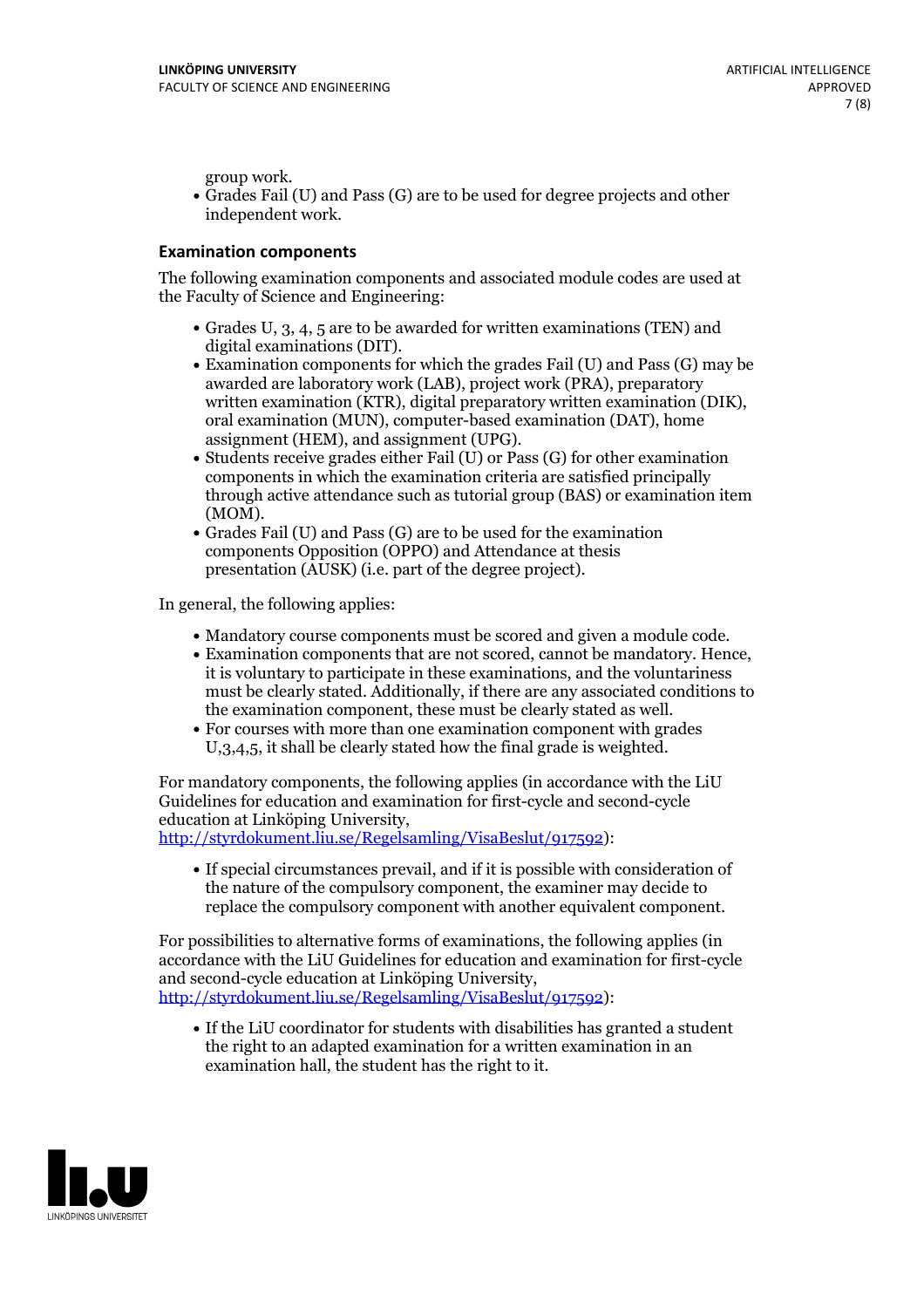group work.<br>• Grades Fail (U) and Pass (G) are to be used for degree projects and other independent work.

### **Examination components**

The following examination components and associated module codes are used at the Faculty of Science and Engineering:

- Grades U, 3, 4, 5 are to be awarded for written examinations (TEN) and
- digital examinations (DIT).<br>• Examination components for which the grades Fail (U) and Pass (G) may be awarded are laboratory work (LAB), project work (PRA), preparatory written examination (KTR), digital preparatory written examination (DIK), oral examination (MUN), computer-based examination (DAT), home
- assignment (HEM), and assignment (UPG).<br>• Students receive grades either Fail (U) or Pass (G) for other examination components in which the examination criteria are satisfied principally through active attendance such as tutorial group (BAS) or examination item
- (MOM).<br>• Grades Fail (U) and Pass (G) are to be used for the examination components Opposition (OPPO) and Attendance at thesis presentation (AUSK) (i.e. part of the degree project).

In general, the following applies:

- 
- Mandatory course components must be scored and given <sup>a</sup> module code. Examination components that are not scored, cannot be mandatory. Hence, it is voluntary to participate in these examinations, and the voluntariness must be clearly stated. Additionally, if there are any associated conditions to
- the examination component, these must be clearly stated as well.<br>• For courses with more than one examination component with grades U,3,4,5, it shall be clearly stated how the final grade is weighted.

For mandatory components, the following applies (in accordance with the LiU Guidelines for education and examination for first-cycle and second-cycle education at Linköping University,<br>[http://styrdokument.liu.se/Regelsamling/VisaBeslut/917592\)](http://styrdokument.liu.se/Regelsamling/VisaBeslut/917592):

If special circumstances prevail, and if it is possible with consideration of the nature of the compulsory component, the examiner may decide to replace the compulsory component with another equivalent component.

For possibilities to alternative forms of examinations, the following applies (in accordance with the LiU Guidelines for education and examination for first-cycle [http://styrdokument.liu.se/Regelsamling/VisaBeslut/917592\)](http://styrdokument.liu.se/Regelsamling/VisaBeslut/917592):

If the LiU coordinator for students with disabilities has granted a student the right to an adapted examination for a written examination in an examination hall, the student has the right to it.